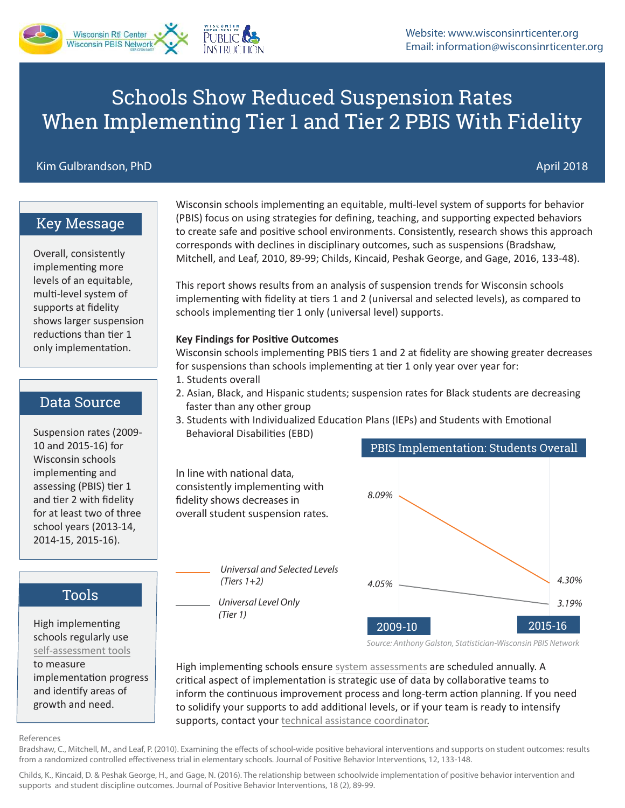# Schools Show Reduced Suspension Rates When Implementing Tier 1 and Tier 2 PBIS With Fidelity

#### Kim Gulbrandson, PhD April 2018 - And April 2018 - April 2018 - April 2018

### Key Message

Overall, consistently implementing more levels of an equitable, multi-level system of supports at fidelity shows larger suspension reductions than tier 1 only implementation.

### Data Source

Suspension rates (2009- 10 and 2015-16) for Wisconsin schools implementing and assessing (PBIS) tier 1 and tier 2 with fidelity for at least two of three school years (2013-14, 2014-15, 2015-16).

## Tools

High implementing schools regularly use [self-assessment tools](https://www.wisconsinrticenter.org/school-implementation/assess-system/) to measure

implementation progress and identify areas of growth and need.

Wisconsin schools implementing an equitable, multi-level system of supports for behavior (PBIS) focus on using strategies for defining, teaching, and supporting expected behaviors to create safe and positive school environments. Consistently, research shows this approach corresponds with declines in disciplinary outcomes, such as suspensions (Bradshaw, Mitchell, and Leaf, 2010, 89-99; Childs, Kincaid, Peshak George, and Gage, 2016, 133-48).

This report shows results from an analysis of suspension trends for Wisconsin schools implementing with fidelity at tiers 1 and 2 (universal and selected levels), as compared to schools implementing tier 1 only (universal level) supports.

#### **Key Findings for Positive Outcomes**

Wisconsin schools implementing PBIS tiers 1 and 2 at fidelity are showing greater decreases for suspensions than schools implementing at tier 1 only year over year for:

- 1. Students overall
- 2. Asian, Black, and Hispanic students; suspension rates for Black students are decreasing faster than any other group
- 3. Students with Individualized Education Plans (IEPs) and Students with Emotional Behavioral Disabili�es (EBD)

In line with national data, consistently implementing with fidelity shows decreases in overall student suspension rates.

> *Universal and Selected Levels (Tiers 1+2)*

*Universal Level Only (Tier 1)*



*Source: Anthony Galston, Statistician-Wisconsin PBIS Network*

High implementing schools ensure [system assessments](https://www.wisconsinrticenter.org/school-implementation/assess-system/) are scheduled annually. A critical aspect of implementation is strategic use of data by collaborative teams to inform the continuous improvement process and long-term action planning. If you need to solidify your supports to add additional levels, or if your team is ready to intensify supports, contact you[r technical assistance coordinator.](https://www.wisconsinrticenter.org/contact/)

#### References

Bradshaw, C., Mitchell, M., and Leaf, P. (2010). Examining the effects of school-wide positive behavioral interventions and supports on student outcomes: results from a randomized controlled effectiveness trial in elementary schools. Journal of Positive Behavior Interventions, 12, 133-148.

Childs, K., Kincaid, D. & Peshak George, H., and Gage, N. (2016). The relationship between schoolwide implementation of positive behavior intervention and supports and student discipline outcomes. Journal of Positive Behavior Interventions, 18 (2), 89-99.